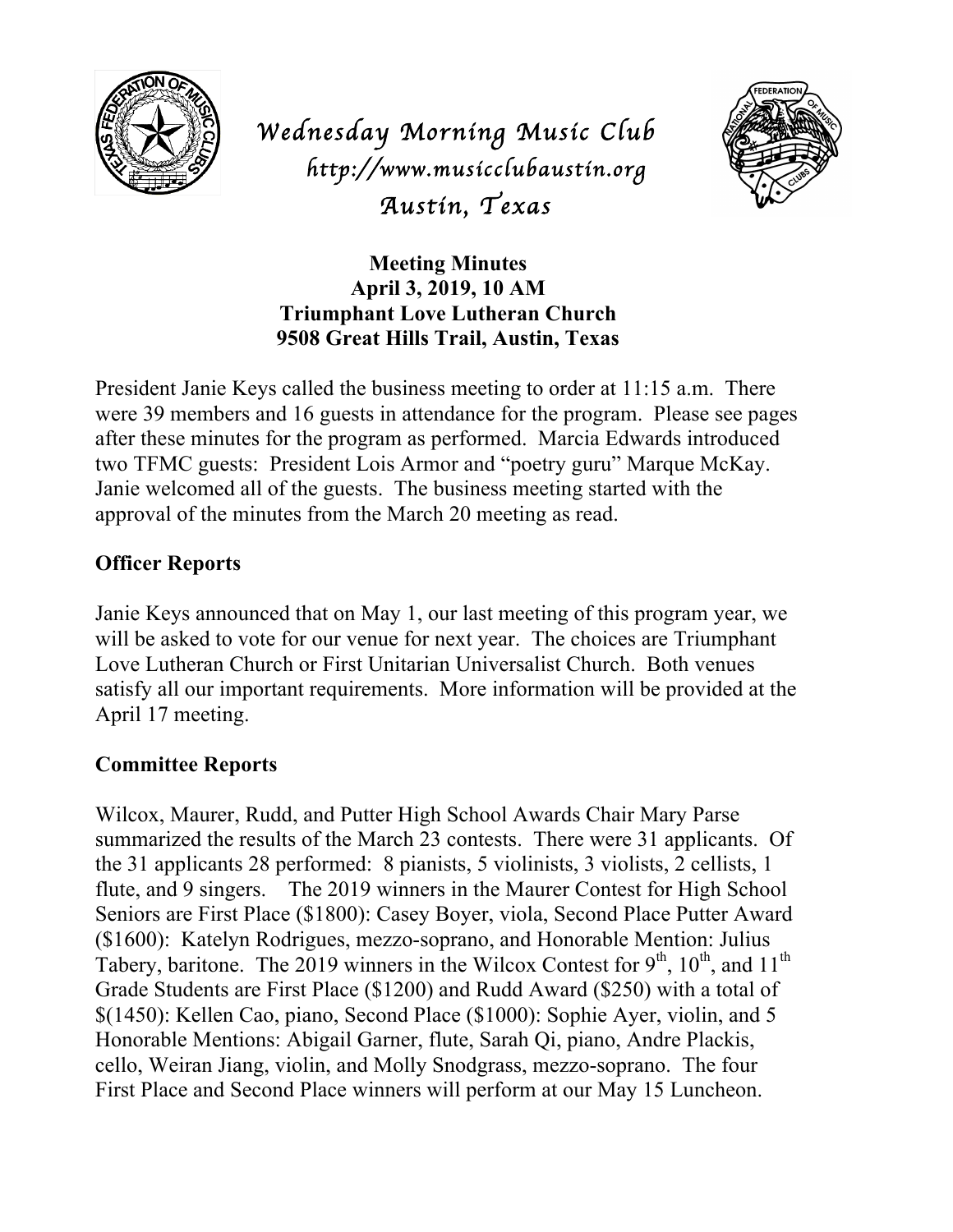

*Wednesday Morning Music Club http://www.musicclubaustin.org Austin, Texas*



**Meeting Minutes April 3, 2019, 10 AM Triumphant Love Lutheran Church 9508 Great Hills Trail, Austin, Texas**

President Janie Keys called the business meeting to order at 11:15 a.m. There were 39 members and 16 guests in attendance for the program. Please see pages after these minutes for the program as performed. Marcia Edwards introduced two TFMC guests: President Lois Armor and "poetry guru" Marque McKay. Janie welcomed all of the guests. The business meeting started with the approval of the minutes from the March 20 meeting as read.

# **Officer Reports**

Janie Keys announced that on May 1, our last meeting of this program year, we will be asked to vote for our venue for next year. The choices are Triumphant Love Lutheran Church or First Unitarian Universalist Church. Both venues satisfy all our important requirements. More information will be provided at the April 17 meeting.

## **Committee Reports**

Wilcox, Maurer, Rudd, and Putter High School Awards Chair Mary Parse summarized the results of the March 23 contests. There were 31 applicants. Of the 31 applicants 28 performed: 8 pianists, 5 violinists, 3 violists, 2 cellists, 1 flute, and 9 singers. The 2019 winners in the Maurer Contest for High School Seniors are First Place (\$1800): Casey Boyer, viola, Second Place Putter Award (\$1600): Katelyn Rodrigues, mezzo-soprano, and Honorable Mention: Julius Tabery, baritone. The 2019 winners in the Wilcox Contest for  $9<sup>th</sup>$ ,  $10<sup>th</sup>$ , and  $11<sup>th</sup>$ Grade Students are First Place (\$1200) and Rudd Award (\$250) with a total of \$(1450): Kellen Cao, piano, Second Place (\$1000): Sophie Ayer, violin, and 5 Honorable Mentions: Abigail Garner, flute, Sarah Qi, piano, Andre Plackis, cello, Weiran Jiang, violin, and Molly Snodgrass, mezzo-soprano. The four First Place and Second Place winners will perform at our May 15 Luncheon.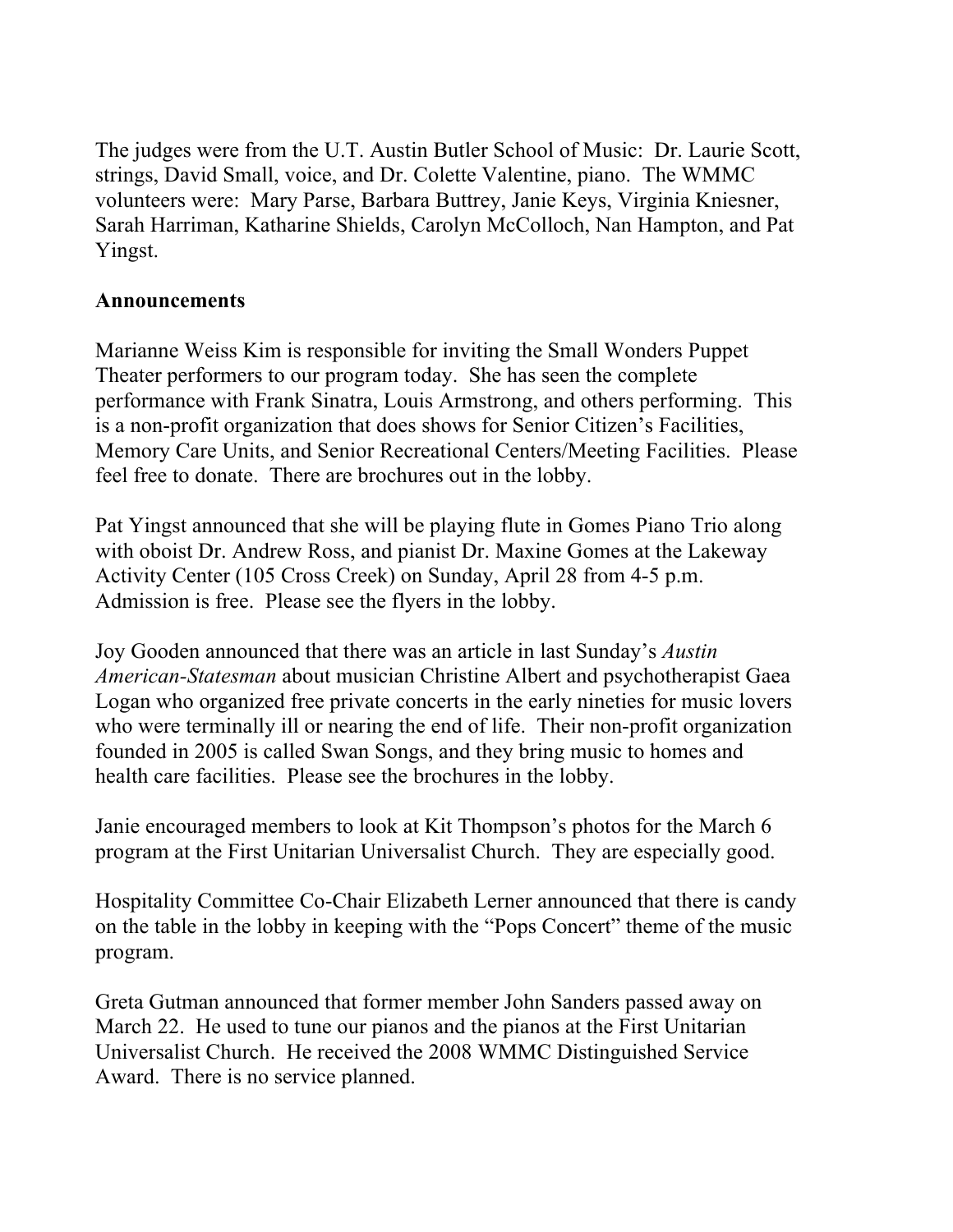The judges were from the U.T. Austin Butler School of Music: Dr. Laurie Scott, strings, David Small, voice, and Dr. Colette Valentine, piano. The WMMC volunteers were: Mary Parse, Barbara Buttrey, Janie Keys, Virginia Kniesner, Sarah Harriman, Katharine Shields, Carolyn McColloch, Nan Hampton, and Pat Yingst.

## **Announcements**

Marianne Weiss Kim is responsible for inviting the Small Wonders Puppet Theater performers to our program today. She has seen the complete performance with Frank Sinatra, Louis Armstrong, and others performing. This is a non-profit organization that does shows for Senior Citizen's Facilities, Memory Care Units, and Senior Recreational Centers/Meeting Facilities. Please feel free to donate. There are brochures out in the lobby.

Pat Yingst announced that she will be playing flute in Gomes Piano Trio along with oboist Dr. Andrew Ross, and pianist Dr. Maxine Gomes at the Lakeway Activity Center (105 Cross Creek) on Sunday, April 28 from 4-5 p.m. Admission is free. Please see the flyers in the lobby.

Joy Gooden announced that there was an article in last Sunday's *Austin American-Statesman* about musician Christine Albert and psychotherapist Gaea Logan who organized free private concerts in the early nineties for music lovers who were terminally ill or nearing the end of life. Their non-profit organization founded in 2005 is called Swan Songs, and they bring music to homes and health care facilities. Please see the brochures in the lobby.

Janie encouraged members to look at Kit Thompson's photos for the March 6 program at the First Unitarian Universalist Church. They are especially good.

Hospitality Committee Co-Chair Elizabeth Lerner announced that there is candy on the table in the lobby in keeping with the "Pops Concert" theme of the music program.

Greta Gutman announced that former member John Sanders passed away on March 22. He used to tune our pianos and the pianos at the First Unitarian Universalist Church. He received the 2008 WMMC Distinguished Service Award. There is no service planned.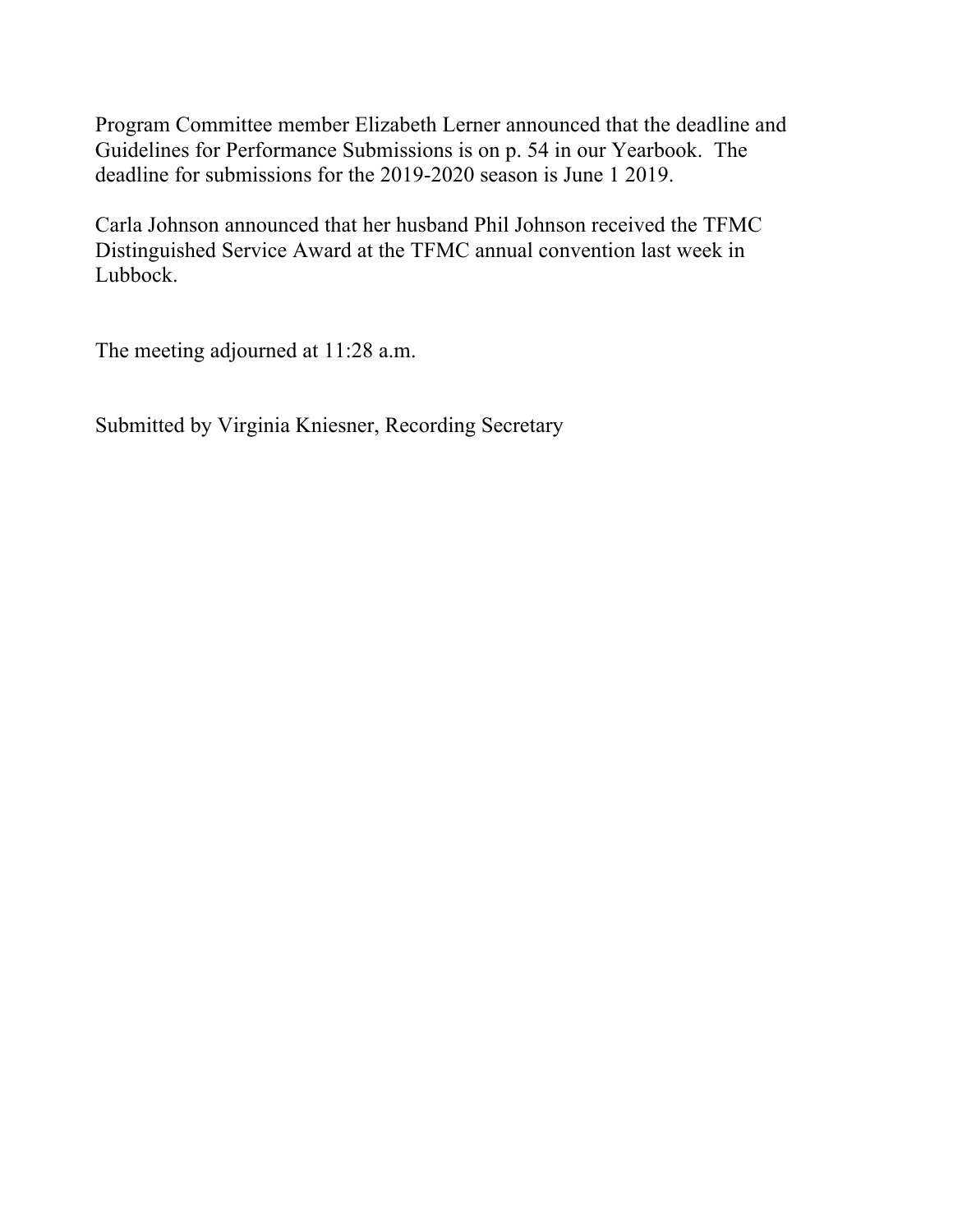Program Committee member Elizabeth Lerner announced that the deadline and Guidelines for Performance Submissions is on p. 54 in our Yearbook. The deadline for submissions for the 2019-2020 season is June 1 2019.

Carla Johnson announced that her husband Phil Johnson received the TFMC Distinguished Service Award at the TFMC annual convention last week in Lubbock.

The meeting adjourned at 11:28 a.m.

Submitted by Virginia Kniesner, Recording Secretary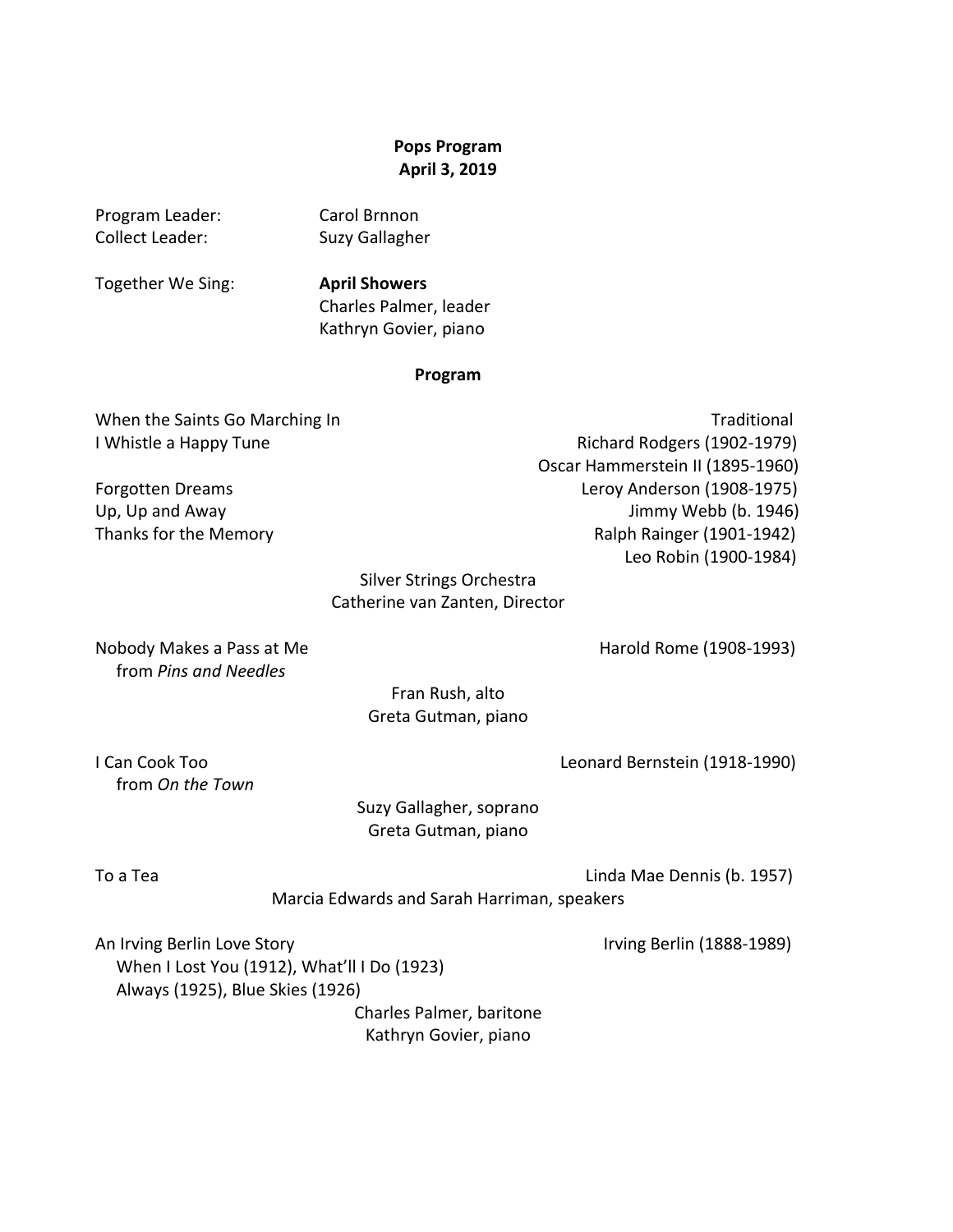### **Pops Program April 3, 2019**

Program Leader: Carol Brnnon Collect Leader: Suzy Gallagher

Together We Sing: **April Showers**

Charles Palmer, leader Kathryn Govier, piano

#### **Program**

When the Saints Go Marching In Traditional Traditional I Whistle a Happy Tune **Internal Contract Contract Contract Contract Contract Contract Contract Contract Contract Contract Contract Contract Contract Contract Contract Contract Contract Contract Contract Contract Contract** Oscar Hammerstein II (1895-1960) Forgotten Dreams **Internal Contract Contract Contract Contract Contract Contract Contract Contract Contract Contract Contract Contract Contract Contract Contract Contract Contract Contract Contract Contract Contract Contra** Up, Up and Away **Democratic Contract Contract Contract Contract Contract Contract Contract Contract Contract Contract Contract Contract Contract Contract Contract Contract Contract Contract Contract Contract Contract Contr** Thanks for the Memory **Actual Contract Contract Contract Contract Contract Contract Contract Contract Contract Contract Contract Contract Contract Contract Contract Contract Contract Contract Contract Contract Contract Con**  Leo Robin (1900-1984)

## Silver Strings Orchestra Catherine van Zanten, Director

Nobody Makes a Pass at Me **Harold** Rome (1908-1993) from *Pins and Needles*

Fran Rush, alto Greta Gutman, piano

I Can Cook Too **Cook Too Cook Too Cook** Too Cook Too Cook Too Cook Too Cook Too Cook Too Cook Too Cook Too Cook Too Cook Too Cook Too Cook Too Cook Too Cook Too Cook Too Cook Too Cook Too Cook Too Cook Too Cook Too Cook To

 from *On the Town*

Suzy Gallagher, soprano Greta Gutman, piano

To a Tea Linda Mae Dennis (b. 1957)

Marcia Edwards and Sarah Harriman, speakers

An Irving Berlin Love Story **Irmidae** Internal Control of the United States (1888-1989) When I Lost You (1912), What'll I Do (1923) Always (1925), Blue Skies (1926)

> Charles Palmer, baritone Kathryn Govier, piano